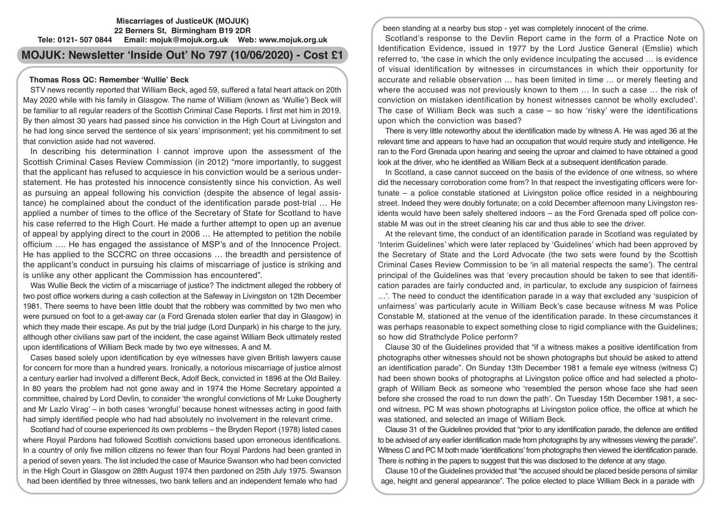# **Miscarriages of JusticeUK (MOJUK) 22 Berners St, Birmingham B19 2DR Tele: 0121- 507 0844 Email: mojuk@mojuk.org.uk Web: www.mojuk.org.uk**

# **MOJUK: Newsletter 'Inside Out' No 797 (10/06/2020) - Cost £1**

## **Thomas Ross QC: Remember 'Wullie' Beck**

STV news recently reported that William Beck, aged 59, suffered a fatal heart attack on 20th May 2020 while with his family in Glasgow. The name of William (known as 'Wullie') Beck will be familiar to all regular readers of the Scottish Criminal Case Reports. I first met him in 2019. By then almost 30 years had passed since his conviction in the High Court at Livingston and he had long since served the sentence of six years' imprisonment; yet his commitment to set that conviction aside had not wavered.

In describing his determination I cannot improve upon the assessment of the Scottish Criminal Cases Review Commission (in 2012) "more importantly, to suggest that the applicant has refused to acquiesce in his conviction would be a serious understatement. He has protested his innocence consistently since his conviction. As well as pursuing an appeal following his conviction (despite the absence of legal assistance) he complained about the conduct of the identification parade post-trial … He applied a number of times to the office of the Secretary of State for Scotland to have his case referred to the High Court. He made a further attempt to open up an avenue of appeal by applying direct to the court in 2006 … He attempted to petition the nobile officium …. He has engaged the assistance of MSP's and of the Innocence Project. He has applied to the SCCRC on three occasions … the breadth and persistence of the applicant's conduct in pursuing his claims of miscarriage of justice is striking and is unlike any other applicant the Commission has encountered".

Was Wullie Beck the victim of a miscarriage of justice? The indictment alleged the robbery of two post office workers during a cash collection at the Safeway in Livingston on 12th December 1981. There seems to have been little doubt that the robbery was committed by two men who were pursued on foot to a get-away car (a Ford Grenada stolen earlier that day in Glasgow) in which they made their escape. As put by the trial judge (Lord Dunpark) in his charge to the jury, although other civilians saw part of the incident, the case against William Beck ultimately rested upon identifications of William Beck made by two eye witnesses, A and M.

Cases based solely upon identification by eye witnesses have given British lawyers cause for concern for more than a hundred years. Ironically, a notorious miscarriage of justice almost a century earlier had involved a different Beck, Adolf Beck, convicted in 1896 at the Old Bailey. In 80 years the problem had not gone away and in 1974 the Home Secretary appointed a committee, chaired by Lord Devlin, to consider 'the wrongful convictions of Mr Luke Dougherty and Mr Lazlo Virag' – in both cases 'wrongful' because honest witnesses acting in good faith had simply identified people who had had absolutely no involvement in the relevant crime.

Scotland had of course experienced its own problems – the Bryden Report (1978) listed cases where Royal Pardons had followed Scottish convictions based upon erroneous identifications. In a country of only five million citizens no fewer than four Royal Pardons had been granted in a period of seven years. The list included the case of Maurice Swanson who had been convicted in the High Court in Glasgow on 28th August 1974 then pardoned on 25th July 1975. Swanson had been identified by three witnesses, two bank tellers and an independent female who had

been standing at a nearby bus stop - yet was completely innocent of the crime.

Scotland's response to the Devlin Report came in the form of a Practice Note on Identification Evidence, issued in 1977 by the Lord Justice General (Emslie) which referred to, 'the case in which the only evidence inculpating the accused … is evidence of visual identification by witnesses in circumstances in which their opportunity for accurate and reliable observation … has been limited in time … or merely fleeting and where the accused was not previously known to them … In such a case … the risk of conviction on mistaken identification by honest witnesses cannot be wholly excluded'. The case of William Beck was such a case  $-$  so how 'risky' were the identifications upon which the conviction was based?

There is very little noteworthy about the identification made by witness A. He was aged 36 at the relevant time and appears to have had an occupation that would require study and intelligence. He ran to the Ford Grenada upon hearing and seeing the uproar and claimed to have obtained a good look at the driver, who he identified as William Beck at a subsequent identification parade.

In Scotland, a case cannot succeed on the basis of the evidence of one witness, so where did the necessary corroboration come from? In that respect the investigating officers were fortunate – a police constable stationed at Livingston police office resided in a neighbouring street. Indeed they were doubly fortunate; on a cold December afternoon many Livingston residents would have been safely sheltered indoors – as the Ford Grenada sped off police constable M was out in the street cleaning his car and thus able to see the driver.

At the relevant time, the conduct of an identification parade in Scotland was regulated by 'Interim Guidelines' which were later replaced by 'Guidelines' which had been approved by the Secretary of State and the Lord Advocate (the two sets were found by the Scottish Criminal Cases Review Commission to be 'in all material respects the same'). The central principal of the Guidelines was that 'every precaution should be taken to see that identification parades are fairly conducted and, in particular, to exclude any suspicion of fairness …'. The need to conduct the identification parade in a way that excluded any 'suspicion of unfairness' was particularly acute in William Beck's case because witness M was Police Constable M, stationed at the venue of the identification parade. In these circumstances it was perhaps reasonable to expect something close to rigid compliance with the Guidelines; so how did Strathclyde Police perform?

Clause 30 of the Guidelines provided that "if a witness makes a positive identification from photographs other witnesses should not be shown photographs but should be asked to attend an identification parade". On Sunday 13th December 1981 a female eye witness (witness C) had been shown books of photographs at Livingston police office and had selected a photograph of William Beck as someone who 'resembled the person whose face she had seen before she crossed the road to run down the path'. On Tuesday 15th December 1981, a second witness, PC M was shown photographs at Livingston police office, the office at which he was stationed, and selected an image of William Beck.

Clause 31 of the Guidelines provided that "prior to any identification parade, the defence are entitled to be advised of any earlier identification made from photographs by any witnesses viewing the parade". Witness C and PC M both made 'identifications' from photographs then viewed the identification parade. There is nothing in the papers to suggest that this was disclosed to the defence at any stage.

Clause 10 of the Guidelines provided that "the accused should be placed beside persons of similar age, height and general appearance". The police elected to place William Beck in a parade with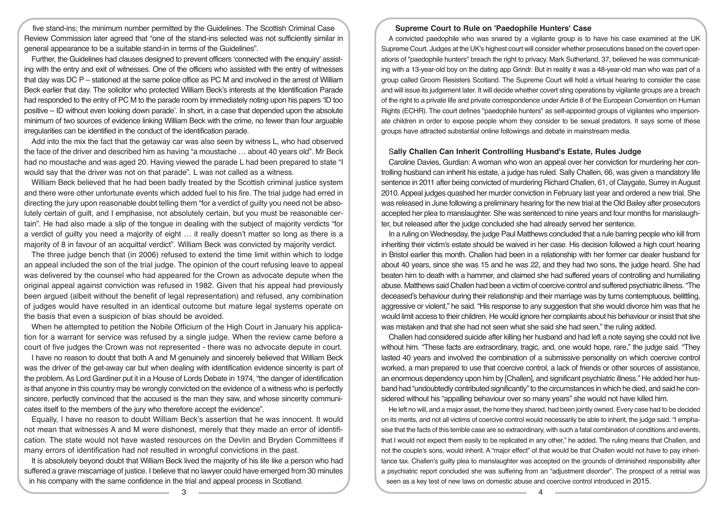five stand-ins; the minimum number permitted by the Guidelines. The Scottish Criminal Case Review Commission later agreed that "one of the stand-ins selected was not sufficiently similar in general appearance to be a suitable stand-in in terms of the Guidelines".

Further, the Guidelines had clauses designed to prevent officers 'connected with the enquiry' assisting with the entry and exit of witnesses. One of the officers who assisted with the entry of witnesses that day was DC P – stationed at the same police office as PC M and involved in the arrest of William Beck earlier that day. The solicitor who protected William Beck's interests at the Identification Parade had responded to the entry of PC M to the parade room by immediately noting upon his papers 'ID too positive – ID without even looking down parade'. In short, in a case that depended upon the absolute minimum of two sources of evidence linking William Beck with the crime, no fewer than four arguable irregularities can be identified in the conduct of the identification parade.

Add into the mix the fact that the getaway car was also seen by witness L, who had observed the face of the driver and described him as having "a moustache … about 40 years old". Mr Beck had no moustache and was aged 20. Having viewed the parade L had been prepared to state "I would say that the driver was not on that parade". L was not called as a witness.

William Beck believed that he had been badly treated by the Scottish criminal justice system and there were other unfortunate events which added fuel to his fire. The trial judge had erred in directing the jury upon reasonable doubt telling them "for a verdict of guilty you need not be absolutely certain of guilt, and I emphasise, not absolutely certain, but you must be reasonable certain". He had also made a slip of the tongue in dealing with the subject of majority verdicts "for a verdict of guilty you need a majority of eight … it really doesn't matter so long as there is a majority of 8 in favour of an acquittal verdict". William Beck was convicted by majority verdict.

The three judge bench that (in 2006) refused to extend the time limit within which to lodge an appeal included the son of the trial judge. The opinion of the court refusing leave to appeal was delivered by the counsel who had appeared for the Crown as advocate depute when the original appeal against conviction was refused in 1982. Given that his appeal had previously been argued (albeit without the benefit of legal representation) and refused, any combination of judges would have resulted in an identical outcome but mature legal systems operate on the basis that even a suspicion of bias should be avoided.

When he attempted to petition the Nobile Officium of the High Court in January his application for a warrant for service was refused by a single judge. When the review came before a court of five judges the Crown was not represented - there was no advocate depute in court.

I have no reason to doubt that both A and M genuinely and sincerely believed that William Beck was the driver of the get-away car but when dealing with identification evidence sincerity is part of the problem. As Lord Gardiner put it in a House of Lords Debate in 1974, "the danger of identification is that anyone in this country may be wrongly convicted on the evidence of a witness who is perfectly sincere, perfectly convinced that the accused is the man they saw, and whose sincerity communicates itself to the members of the jury who therefore accept the evidence".

Equally, I have no reason to doubt William Beck's assertion that he was innocent. It would not mean that witnesses A and M were dishonest, merely that they made an error of identification. The state would not have wasted resources on the Devlin and Bryden Committees if many errors of identification had not resulted in wrongful convictions in the past.

It is absolutely beyond doubt that William Beck lived the majority of his life like a person who had suffered a grave miscarriage of justice. I believe that no lawyer could have emerged from 30 minutes in his company with the same confidence in the trial and appeal process in Scotland.

#### **Supreme Court to Rule on 'Paedophile Hunters' Case**

A convicted paedophile who was snared by a vigilante group is to have his case examined at the UK Supreme Court. Judges at the UK's highest court will consider whether prosecutions based on the covert operations of "paedophile hunters" breach the right to privacy. Mark Sutherland, 37, believed he was communicating with a 13-year-old boy on the dating app Grindr. But in reality it was a 48-year-old man who was part of a group called Groom Resisters Scotland. The Supreme Court will hold a virtual hearing to consider the case and will issue its judgement later. It will decide whether covert sting operations by vigilante groups are a breach of the right to a private life and private correspondence under Article 8 of the European Convention on Human Rights (ECHR). The court defines "paedophile hunters" as self-appointed groups of vigilantes who impersonate children in order to expose people whom they consider to be sexual predators. It says some of these groups have attracted substantial online followings and debate in mainstream media.

#### S**ally Challen Can Inherit Controlling Husband's Estate, Rules Judge**

Caroline Davies, Gurdian: A woman who won an appeal over her conviction for murdering her controlling husband can inherit his estate, a judge has ruled. Sally Challen, 66, was given a mandatory life sentence in 2011 after being convicted of murdering Richard Challen, 61, of Claygate, Surrey in August 2010. Appeal judges quashed her murder conviction in February last year and ordered a new trial. She was released in June following a preliminary hearing for the new trial at the Old Bailey after prosecutors accepted her plea to manslaughter. She was sentenced to nine years and four months for manslaughter, but released after the judge concluded she had already served her sentence.

In a ruling on Wednesday, the judge Paul Matthews concluded that a rule barring people who kill from inheriting their victim's estate should be waived in her case. His decision followed a high court hearing in Bristol earlier this month. Challen had been in a relationship with her former car dealer husband for about 40 years, since she was 15 and he was 22, and they had two sons, the judge heard. She had beaten him to death with a hammer, and claimed she had suffered years of controlling and humiliating abuse. Matthews said Challen had been a victim of coercive control and suffered psychiatric illness. "The deceased's behaviour during their relationship and their marriage was by turns contemptuous, belittling, aggressive or violent," he said. "His response to any suggestion that she would divorce him was that he would limit access to their children. He would ignore her complaints about his behaviour or insist that she was mistaken and that she had not seen what she said she had seen," the ruling added.

Challen had considered suicide after killing her husband and had left a note saying she could not live without him. "These facts are extraordinary, tragic, and, one would hope, rare," the judge said. "They lasted 40 years and involved the combination of a submissive personality on which coercive control worked, a man prepared to use that coercive control, a lack of friends or other sources of assistance, an enormous dependency upon him by [Challen], and significant psychiatric illness." He added her husband had "undoubtedly contributed significantly" to the circumstances in which he died, and said he considered without his "appalling behaviour over so many years" she would not have killed him.

He left no will, and a major asset, the home they shared, had been jointly owned. Every case had to be decided on its merits, and not all victims of coercive control would necessarily be able to inherit, the judge said. "I emphasise that the facts of this terrible case are so extraordinary, with such a fatal combination of conditions and events, that I would not expect them easily to be replicated in any other," he added. The ruling means that Challen, and not the couple's sons, would inherit. A "major effect" of that would be that Challen would not have to pay inheritance tax. Challen's quilty plea to manslaughter was accepted on the grounds of diminished responsibility after a psychiatric report concluded she was suffering from an "adjustment disorder". The prospect of a retrial was seen as a key test of new laws on domestic abuse and coercive control introduced in 2015.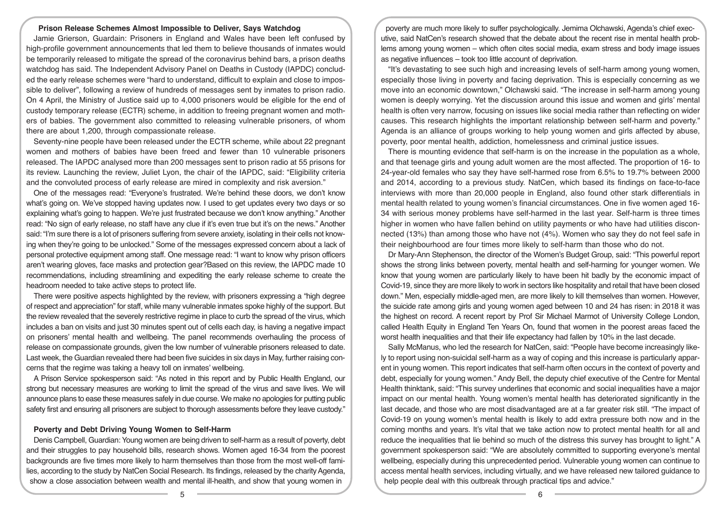#### **Prison Release Schemes Almost Impossible to Deliver, Says Watchdog**

Jamie Grierson, Guardain: Prisoners in England and Wales have been left confused by high-profile government announcements that led them to believe thousands of inmates would be temporarily released to mitigate the spread of the coronavirus behind bars, a prison deaths watchdog has said. The Independent Advisory Panel on Deaths in Custody (IAPDC) concluded the early release schemes were "hard to understand, difficult to explain and close to impossible to deliver", following a review of hundreds of messages sent by inmates to prison radio. On 4 April, the Ministry of Justice said up to 4,000 prisoners would be eligible for the end of custody temporary release (ECTR) scheme, in addition to freeing pregnant women and mothers of babies. The government also committed to releasing vulnerable prisoners, of whom there are about 1,200, through compassionate release.

Seventy-nine people have been released under the ECTR scheme, while about 22 pregnant women and mothers of babies have been freed and fewer than 10 vulnerable prisoners released. The IAPDC analysed more than 200 messages sent to prison radio at 55 prisons for its review. Launching the review, Juliet Lyon, the chair of the IAPDC, said: "Eligibility criteria and the convoluted process of early release are mired in complexity and risk aversion."

One of the messages read: "Everyone's frustrated. We're behind these doors, we don't know what's going on. We've stopped having updates now. I used to get updates every two days or so explaining what's going to happen. We're just frustrated because we don't know anything." Another read: "No sign of early release, no staff have any clue if it's even true but it's on the news." Another said: "I'm sure there is a lot of prisoners suffering from severe anxiety, isolating in their cells not knowing when they're going to be unlocked." Some of the messages expressed concern about a lack of personal protective equipment among staff. One message read: "I want to know why prison officers aren't wearing gloves, face masks and protection gear?Based on this review, the IAPDC made 10 recommendations, including streamlining and expediting the early release scheme to create the headroom needed to take active steps to protect life.

There were positive aspects highlighted by the review, with prisoners expressing a "high degree of respect and appreciation" for staff, while many vulnerable inmates spoke highly of the support. But the review revealed that the severely restrictive regime in place to curb the spread of the virus, which includes a ban on visits and just 30 minutes spent out of cells each day, is having a negative impact on prisoners' mental health and wellbeing. The panel recommends overhauling the process of release on compassionate grounds, given the low number of vulnerable prisoners released to date. Last week, the Guardian revealed there had been five suicides in six days in May, further raising concerns that the regime was taking a heavy toll on inmates' wellbeing.

A Prison Service spokesperson said: "As noted in this report and by Public Health England, our strong but necessary measures are working to limit the spread of the virus and save lives. We will announce plans to ease these measures safely in due course. We make no apologies for putting public safety first and ensuring all prisoners are subject to thorough assessments before they leave custody."

## **Poverty and Debt Driving Young Women to Self-Harm**

Denis Campbell, Guardian: Young women are being driven to self-harm as a result of poverty, debt and their struggles to pay household bills, research shows. Women aged 16-34 from the poorest backgrounds are five times more likely to harm themselves than those from the most well-off families, according to the study by NatCen Social Research. Its findings, released by the charity Agenda, show a close association between wealth and mental ill-health, and show that young women in

poverty are much more likely to suffer psychologically. Jemima Olchawski, Agenda's chief executive, said NatCen's research showed that the debate about the recent rise in mental health problems among young women – which often cites social media, exam stress and body image issues as negative influences – took too little account of deprivation.

"It's devastating to see such high and increasing levels of self-harm among young women, especially those living in poverty and facing deprivation. This is especially concerning as we move into an economic downtown," Olchawski said. "The increase in self-harm among young women is deeply worrying. Yet the discussion around this issue and women and girls' mental health is often very narrow, focusing on issues like social media rather than reflecting on wider causes. This research highlights the important relationship between self-harm and poverty." Agenda is an alliance of groups working to help young women and girls affected by abuse, poverty, poor mental health, addiction, homelessness and criminal justice issues.

There is mounting evidence that self-harm is on the increase in the population as a whole, and that teenage girls and young adult women are the most affected. The proportion of 16- to 24-year-old females who say they have self-harmed rose from 6.5% to 19.7% between 2000 and 2014, according to a previous study. NatCen, which based its findings on face-to-face interviews with more than 20,000 people in England, also found other stark differentials in mental health related to young women's financial circumstances. One in five women aged 16- 34 with serious money problems have self-harmed in the last year. Self-harm is three times higher in women who have fallen behind on utility payments or who have had utilities disconnected (13%) than among those who have not (4%). Women who say they do not feel safe in their neighbourhood are four times more likely to self-harm than those who do not.

Dr Mary-Ann Stephenson, the director of the Women's Budget Group, said: "This powerful report shows the strong links between poverty, mental health and self-harming for younger women. We know that young women are particularly likely to have been hit badly by the economic impact of Covid-19, since they are more likely to work in sectors like hospitality and retail that have been closed down." Men, especially middle-aged men, are more likely to kill themselves than women. However, the suicide rate among girls and young women aged between 10 and 24 has risen: in 2018 it was the highest on record. A recent report by Prof Sir Michael Marmot of University College London, called Health Equity in England Ten Years On, found that women in the poorest areas faced the worst health inequalities and that their life expectancy had fallen by 10% in the last decade.

Sally McManus, who led the research for NatCen, said: "People have become increasingly likely to report using non-suicidal self-harm as a way of coping and this increase is particularly apparent in young women. This report indicates that self-harm often occurs in the context of poverty and debt, especially for young women." Andy Bell, the deputy chief executive of the Centre for Mental Health thinktank, said: "This survey underlines that economic and social inequalities have a major impact on our mental health. Young women's mental health has deteriorated significantly in the last decade, and those who are most disadvantaged are at a far greater risk still. "The impact of Covid-19 on young women's mental health is likely to add extra pressure both now and in the coming months and years. It's vital that we take action now to protect mental health for all and reduce the inequalities that lie behind so much of the distress this survey has brought to light." A government spokesperson said: "We are absolutely committed to supporting everyone's mental wellbeing, especially during this unprecedented period. Vulnerable young women can continue to access mental health services, including virtually, and we have released new tailored guidance to help people deal with this outbreak through practical tips and advice."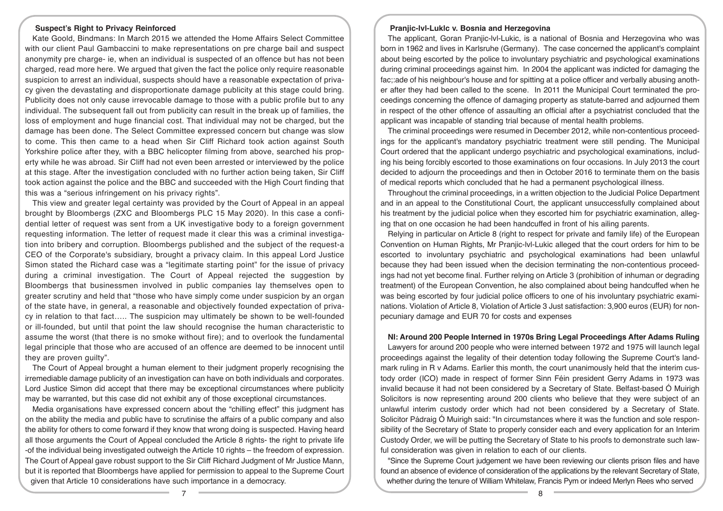# **Suspect's Right to Privacy Reinforced**

Kate Goold, Bindmans: In March 2015 we attended the Home Affairs Select Committee with our client Paul Gambaccini to make representations on pre charge bail and suspect anonymity pre charge- ie, when an individual is suspected of an offence but has not been charged, read more here. We argued that given the fact the police only require reasonable suspicion to arrest an individual, suspects should have a reasonable expectation of privacy given the devastating and disproportionate damage publicity at this stage could bring. Publicity does not only cause irrevocable damage to those with a public profile but to any individual. The subsequent fall out from publicity can result in the break up of families, the loss of employment and huge financial cost. That individual may not be charged, but the damage has been done. The Select Committee expressed concern but change was slow to come. This then came to a head when Sir Cliff Richard took action against South Yorkshire police after they, with a BBC helicopter filming from above, searched his property while he was abroad. Sir Cliff had not even been arrested or interviewed by the police at this stage. After the investigation concluded with no further action being taken, Sir Cliff took action against the police and the BBC and succeeded with the High Court finding that this was a "serious infringement on his privacy rights".

This view and greater legal certainty was provided by the Court of Appeal in an appeal brought by Bloombergs (ZXC and Bloombergs PLC 15 May 2020). In this case a confidential letter of request was sent from a UK investigative body to a foreign government requesting information. The letter of request made it clear this was a criminal investigation into bribery and corruption. Bloombergs published and the subject of the request-a CEO of the Corporate's subsidiary, brought a privacy claim. In this appeal Lord Justice Simon stated the Richard case was a "legitimate starting point" for the issue of privacy during a criminal investigation. The Court of Appeal rejected the suggestion by Bloombergs that businessmen involved in public companies lay themselves open to greater scrutiny and held that "those who have simply come under suspicion by an organ of the state have, in general, a reasonable and objectively founded expectation of privacy in relation to that fact….. The suspicion may ultimately be shown to be well-founded or ill-founded, but until that point the law should recognise the human characteristic to assume the worst (that there is no smoke without fire); and to overlook the fundamental legal principle that those who are accused of an offence are deemed to be innocent until they are proven guilty".

The Court of Appeal brought a human element to their judgment properly recognising the irremediable damage publicity of an investigation can have on both individuals and corporates. Lord Justice Simon did accept that there may be exceptional circumstances where publicity may be warranted, but this case did not exhibit any of those exceptional circumstances.

Media organisations have expressed concern about the "chilling effect" this judgment has on the ability the media and public have to scrutinise the affairs of a public company and also the ability for others to come forward if they know that wrong doing is suspected. Having heard all those arguments the Court of Appeal concluded the Article 8 rights- the right to private life -of the individual being investigated outweigh the Article 10 rights – the freedom of expression. The Court of Appeal gave robust support to the Sir Cliff Richard Judgment of Mr Justice Mann, but it is reported that Bloombergs have applied for permission to appeal to the Supreme Court given that Article 10 considerations have such importance in a democracy.

## **Pranjic-lvl-Luklc v. Bosnia and Herzegovina**

The applicant, Goran Pranjic-lvl-Lukic, is a national of Bosnia and Herzegovina who was born in 1962 and lives in Karlsruhe (Germany). The case concerned the applicant's complaint about being escorted by the police to involuntary psychiatric and psychological examinations during criminal proceedings against him. In 2004 the applicant was indicted for damaging the fac;:ade of his neighbour's house and for spitting at a police officer and verbally abusing another after they had been called to the scene. In 2011 the Municipal Court terminated the proceedings concerning the offence of damaging property as statute-barred and adjourned them in respect of the other offence of assaulting an official after a psychiatrist concluded that the applicant was incapable of standing trial because of mental health problems.

The criminal proceedings were resumed in December 2012, while non-contentious proceedings for the applicant's mandatory psychiatric treatment were still pending. The Municipal Court ordered that the applicant undergo psychiatric and psychological examinations, including his being forcibly escorted to those examinations on four occasions. In July 2013 the court decided to adjourn the proceedings and then in October 2016 to terminate them on the basis of medical reports which concluded that he had a permanent psychological illness.

Throughout the criminal proceedings, in a written objection to the Judicial Police Department and in an appeal to the Constitutional Court, the applicant unsuccessfully complained about his treatment by the judicial police when they escorted him for psychiatric examination, alleging that on one occasion he had been handcuffed in front of his ailing parents.

Relying in particular on Article 8 (right to respect for private and family life) of the European Convention on Human Rights, Mr Pranjic-lvl-Lukic alleged that the court orders for him to be escorted to involuntary psychiatric and psychological examinations had been unlawful because they had been issued when the decision terminating the non-contentious proceedings had not yet become final. Further relying on Article 3 (prohibition of inhuman or degrading treatment) of the European Convention, he also complained about being handcuffed when he was being escorted by four judicial police officers to one of his involuntary psychiatric examinations. Violation of Article 8, Violation of Article 3 Just satisfaction: 3,900 euros (EUR) for nonpecuniary damage and EUR 70 for costs and expenses

**NI: Around 200 People Interned in 1970s Bring Legal Proceedings After Adams Ruling** 

Lawyers for around 200 people who were interned between 1972 and 1975 will launch legal proceedings against the legality of their detention today following the Supreme Court's landmark ruling in R v Adams. Earlier this month, the court unanimously held that the interim custody order (ICO) made in respect of former Sinn Féin president Gerry Adams in 1973 was invalid because it had not been considered by a Secretary of State. Belfast-based Ó Muirigh Solicitors is now representing around 200 clients who believe that they were subject of an unlawful interim custody order which had not been considered by a Secretary of State. Solicitor Pádraig Ó Muirigh said: "In circumstances where it was the function and sole responsibility of the Secretary of State to properly consider each and every application for an Interim Custody Order, we will be putting the Secretary of State to his proofs to demonstrate such lawful consideration was given in relation to each of our clients.

"Since the Supreme Court judgement we have been reviewing our clients prison files and have found an absence of evidence of consideration of the applications by the relevant Secretary of State, whether during the tenure of William Whitelaw, Francis Pym or indeed Merlyn Rees who served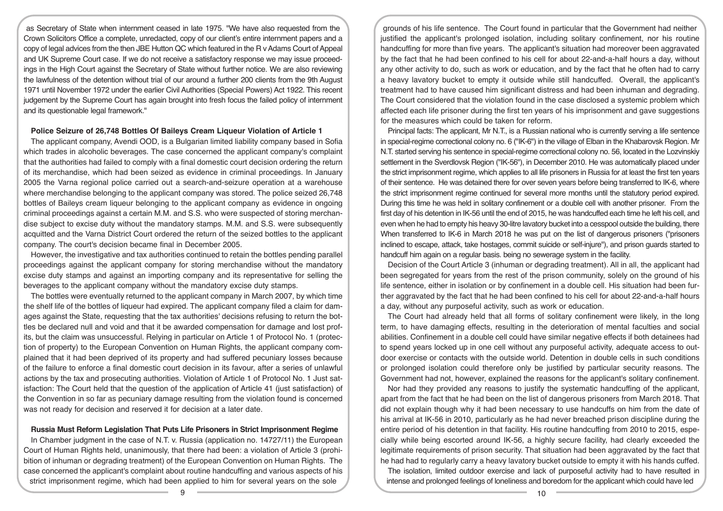as Secretary of State when internment ceased in late 1975. "We have also requested from the Crown Solicitors Office a complete, unredacted, copy of our client's entire internment papers and a copy of legal advices from the then JBE Hutton QC which featured in the R v Adams Court of Appeal and UK Supreme Court case. If we do not receive a satisfactory response we may issue proceedings in the High Court against the Secretary of State without further notice. We are also reviewing the lawfulness of the detention without trial of our around a further 200 clients from the 9th August 1971 until November 1972 under the earlier Civil Authorities (Special Powers) Act 1922. This recent judgement by the Supreme Court has again brought into fresh focus the failed policy of internment and its questionable legal framework."

#### **Police Seizure of 26,748 Bottles Of Baileys Cream Liqueur Violation of Article 1**

The applicant company, Avendi OOD, is a Bulgarian limited liability company based in Sofia which trades in alcoholic beverages. The case concerned the applicant company's complaint that the authorities had failed to comply with a final domestic court decision ordering the return of its merchandise, which had been seized as evidence in criminal proceedings. In January 2005 the Varna regional police carried out a search-and-seizure operation at a warehouse where merchandise belonging to the applicant company was stored. The police seized 26,748 bottles of Baileys cream liqueur belonging to the applicant company as evidence in ongoing criminal proceedings against a certain M.M. and S.S. who were suspected of storing merchandise subject to excise duty without the mandatory stamps. M.M. and S.S. were subsequently acquitted and the Varna District Court ordered the return of the seized bottles to the applicant company. The court's decision became final in December 2005.

However, the investigative and tax authorities continued to retain the bottles pending parallel proceedings against the applicant company for storing merchandise without the mandatory excise duty stamps and against an importing company and its representative for selling the beverages to the applicant company without the mandatory excise duty stamps.

The bottles were eventually returned to the applicant company in March 2007, by which time the shelf life of the bottles of liqueur had expired. The applicant company filed a claim for damages against the State, requesting that the tax authorities' decisions refusing to return the bottles be declared null and void and that it be awarded compensation for damage and lost profits, but the claim was unsuccessful. Relying in particular on Article 1 of Protocol No. 1 (protection of property) to the European Convention on Human Rights, the applicant company complained that it had been deprived of its property and had suffered pecuniary losses because of the failure to enforce a final domestic court decision in its favour, after a series of unlawful actions by the tax and prosecuting authorities. Violation of Article 1 of Protocol No. 1 Just satisfaction: The Court held that the question of the application of Article 41 (just satisfaction) of the Convention in so far as pecuniary damage resulting from the violation found is concerned was not ready for decision and reserved it for decision at a later date.

#### **Russia Must Reform Legislation That Puts Life Prisoners in Strict Imprisonment Regime**

In Chamber judgment in the case of N.T. v. Russia (application no. 14727/11) the European Court of Human Rights held, unanimously, that there had been: a violation of Article 3 (prohibition of inhuman or degrading treatment) of the European Convention on Human Rights. The case concerned the applicant's complaint about routine handcuffing and various aspects of his strict imprisonment regime, which had been applied to him for several years on the sole

grounds of his life sentence. The Court found in particular that the Government had neither justified the applicant's prolonged isolation, including solitary confinement, nor his routine handcuffing for more than five years. The applicant's situation had moreover been aggravated by the fact that he had been confined to his cell for about 22-and-a-half hours a day, without any other activity to do, such as work or education, and by the fact that he often had to carry a heavy lavatory bucket to empty it outside while still handcuffed. Overall, the applicant's treatment had to have caused him significant distress and had been inhuman and degrading. The Court considered that the violation found in the case disclosed a systemic problem which affected each life prisoner during the first ten years of his imprisonment and gave suggestions for the measures which could be taken for reform.

Principal facts: The applicant, Mr N.T., is a Russian national who is currently serving a life sentence in special-regime correctional colony no. 6 ("IK-6") in the village of Elban in the Khabarovsk Region. Mr N.T. started serving his sentence in special-regime correctional colony no. 56, located in the Lozvinskiy settlement in the Sverdlovsk Region ("IK-56"), in December 2010. He was automatically placed under the strict imprisonment regime, which applies to all life prisoners in Russia for at least the first ten years of their sentence. He was detained there for over seven years before being transferred to IK-6, where the strict imprisonment regime continued for several more months until the statutory period expired. During this time he was held in solitary confinement or a double cell with another prisoner. From the first day of his detention in IK-56 until the end of 2015, he was handcuffed each time he left his cell, and even when he had to empty his heavy 30-litre lavatory bucket into a cesspool outside the building, there When transferred to IK-6 in March 2018 he was put on the list of dangerous prisoners ("prisoners inclined to escape, attack, take hostages, commit suicide or self-injure"), and prison guards started to handcuff him again on a regular basis. being no sewerage system in the facility.

Decision of the Court Article 3 (inhuman or degrading treatment). All in all, the applicant had been segregated for years from the rest of the prison community, solely on the ground of his life sentence, either in isolation or by confinement in a double cell. His situation had been further aggravated by the fact that he had been confined to his cell for about 22-and-a-half hours a day, without any purposeful activity, such as work or education.

The Court had already held that all forms of solitary confinement were likely, in the long term, to have damaging effects, resulting in the deterioration of mental faculties and social abilities. Confinement in a double cell could have similar negative effects if both detainees had to spend years locked up in one cell without any purposeful activity, adequate access to outdoor exercise or contacts with the outside world. Detention in double cells in such conditions or prolonged isolation could therefore only be justified by particular security reasons. The Government had not, however, explained the reasons for the applicant's solitary confinement.

Nor had they provided any reasons to justify the systematic handcuffing of the applicant, apart from the fact that he had been on the list of dangerous prisoners from March 2018. That did not explain though why it had been necessary to use handcuffs on him from the date of his arrival at IK-56 in 2010, particularly as he had never breached prison discipline during the entire period of his detention in that facility. His routine handcuffing from 2010 to 2015, especially while being escorted around IK-56, a highly secure facility, had clearly exceeded the legitimate requirements of prison security. That situation had been aggravated by the fact that he had had to regularly carry a heavy lavatory bucket outside to empty it with his hands cuffed.

The isolation, limited outdoor exercise and lack of purposeful activity had to have resulted in intense and prolonged feelings of loneliness and boredom for the applicant which could have led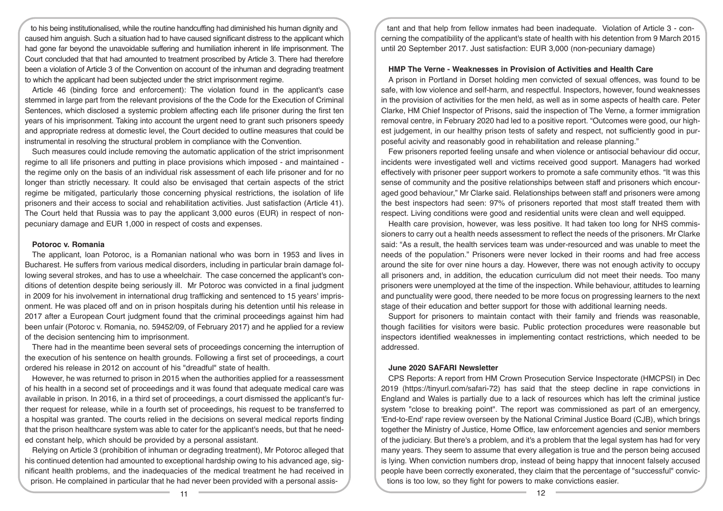to his being institutionalised, while the routine handcuffing had diminished his human dignity and caused him anguish. Such a situation had to have caused significant distress to the applicant which had gone far beyond the unavoidable suffering and humiliation inherent in life imprisonment. The Court concluded that that had amounted to treatment proscribed by Article 3. There had therefore been a violation of Article 3 of the Convention on account of the inhuman and degrading treatment to which the applicant had been subjected under the strict imprisonment regime.

Article 46 (binding force and enforcement): The violation found in the applicant's case stemmed in large part from the relevant provisions of the the Code for the Execution of Criminal Sentences, which disclosed a systemic problem affecting each life prisoner during the first ten years of his imprisonment. Taking into account the urgent need to grant such prisoners speedy and appropriate redress at domestic level, the Court decided to outline measures that could be instrumental in resolving the structural problem in compliance with the Convention.

Such measures could include removing the automatic application of the strict imprisonment regime to all life prisoners and putting in place provisions which imposed - and maintained the regime only on the basis of an individual risk assessment of each life prisoner and for no longer than strictly necessary. It could also be envisaged that certain aspects of the strict regime be mitigated, particularly those concerning physical restrictions, the isolation of life prisoners and their access to social and rehabilitation activities. Just satisfaction (Article 41). The Court held that Russia was to pay the applicant 3,000 euros (EUR) in respect of nonpecuniary damage and EUR 1,000 in respect of costs and expenses.

## **Potoroc v. Romania**

The applicant, loan Potoroc, is a Romanian national who was born in 1953 and lives in Bucharest. He suffers from various medical disorders, including in particular brain damage following several strokes, and has to use a wheelchair. The case concerned the applicant's conditions of detention despite being seriously ill. Mr Potoroc was convicted in a final judgment in 2009 for his involvement in international drug trafficking and sentenced to 15 years' imprisonment. He was placed off and on in prison hospitals during his detention until his release in 2017 after a European Court judgment found that the criminal proceedings against him had been unfair (Potoroc v. Romania, no. 59452/09, of February 2017) and he applied for a review of the decision sentencing him to imprisonment.

There had in the meantime been several sets of proceedings concerning the interruption of the execution of his sentence on health grounds. Following a first set of proceedings, a court ordered his release in 2012 on account of his "dreadful" state of health.

However, he was returned to prison in 2015 when the authorities applied for a reassessment of his health in a second set of proceedings and it was found that adequate medical care was available in prison. In 2016, in a third set of proceedings, a court dismissed the applicant's further request for release, while in a fourth set of proceedings, his request to be transferred to a hospital was granted. The courts relied in the decisions on several medical reports finding that the prison healthcare system was able to cater for the applicant's needs, but that he needed constant help, which should be provided by a personal assistant.

Relying on Article 3 (prohibition of inhuman or degrading treatment), Mr Potoroc alleged that his continued detention had amounted to exceptional hardship owing to his advanced age, significant health problems, and the inadequacies of the medical treatment he had received in prison. He complained in particular that he had never been provided with a personal assis-

tant and that help from fellow inmates had been inadequate. Violation of Article 3 - concerning the compatibility of the applicant's state of health with his detention from 9 March 2015 until 20 September 2017. Just satisfaction: EUR 3,000 (non-pecuniary damage)

## **HMP The Verne - Weaknesses in Provision of Activities and Health Care**

A prison in Portland in Dorset holding men convicted of sexual offences, was found to be safe, with low violence and self-harm, and respectful. Inspectors, however, found weaknesses in the provision of activities for the men held, as well as in some aspects of health care. Peter Clarke, HM Chief Inspector of Prisons, said the inspection of The Verne, a former immigration removal centre, in February 2020 had led to a positive report. "Outcomes were good, our highest judgement, in our healthy prison tests of safety and respect, not sufficiently good in purposeful acivity and reasonably good in rehabilitation and release planning."

Few prisoners reported feeling unsafe and when violence or antisocial behaviour did occur, incidents were investigated well and victims received good support. Managers had worked effectively with prisoner peer support workers to promote a safe community ethos. "It was this sense of community and the positive relationships between staff and prisoners which encouraged good behaviour," Mr Clarke said. Relationships between staff and prisoners were among the best inspectors had seen: 97% of prisoners reported that most staff treated them with respect. Living conditions were good and residential units were clean and well equipped.

Health care provision, however, was less positive. It had taken too long for NHS commissioners to carry out a health needs assessment to reflect the needs of the prisoners. Mr Clarke said: "As a result, the health services team was under-resourced and was unable to meet the needs of the population." Prisoners were never locked in their rooms and had free access around the site for over nine hours a day. However, there was not enough activity to occupy all prisoners and, in addition, the education curriculum did not meet their needs. Too many prisoners were unemployed at the time of the inspection. While behaviour, attitudes to learning and punctuality were good, there needed to be more focus on progressing learners to the next stage of their education and better support for those with additional learning needs.

Support for prisoners to maintain contact with their family and friends was reasonable, though facilities for visitors were basic. Public protection procedures were reasonable but inspectors identified weaknesses in implementing contact restrictions, which needed to be addressed.

#### **June 2020 SAFARI Newsletter**

CPS Reports: A report from HM Crown Prosecution Service Inspectorate (HMCPSI) in Dec 2019 (https://tinyurl.com/safari-72) has said that the steep decline in rape convictions in England and Wales is partially due to a lack of resources which has left the criminal justice system "close to breaking point". The report was commissioned as part of an emergency, 'End-to-End' rape review overseen by the National Criminal Justice Board (CJB), which brings together the Ministry of Justice, Home Office, law enforcement agencies and senior members of the judiciary. But there's a problem, and it's a problem that the legal system has had for very many years. They seem to assume that every allegation is true and the person being accused is lying. When conviction numbers drop, instead of being happy that innocent falsely accused people have been correctly exonerated, they claim that the percentage of "successful" convictions is too low, so they fight for powers to make convictions easier.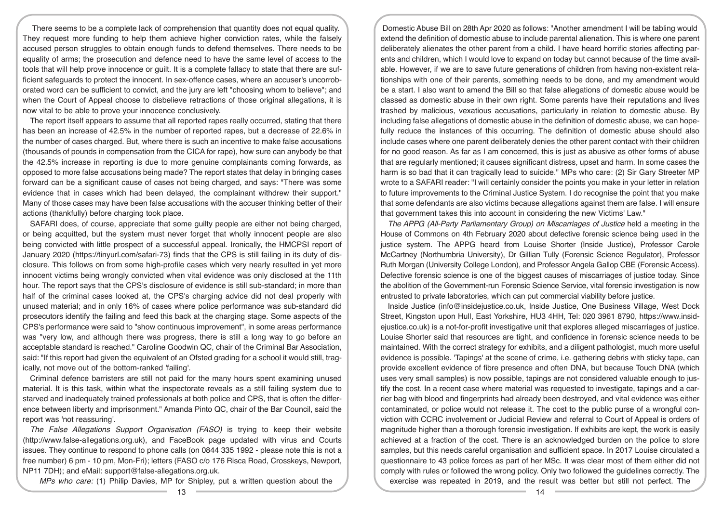There seems to be a complete lack of comprehension that quantity does not equal quality. They request more funding to help them achieve higher conviction rates, while the falsely accused person struggles to obtain enough funds to defend themselves. There needs to be equality of arms; the prosecution and defence need to have the same level of access to the tools that will help prove innocence or guilt. It is a complete fallacy to state that there are sufficient safeguards to protect the innocent. In sex-offence cases, where an accuser's uncorroborated word can be sufficient to convict, and the jury are left "choosing whom to believe"; and when the Court of Appeal choose to disbelieve retractions of those original allegations, it is now vital to be able to prove your innocence conclusively.

The report itself appears to assume that all reported rapes really occurred, stating that there has been an increase of 42.5% in the number of reported rapes, but a decrease of 22.6% in the number of cases charged. But, where there is such an incentive to make false accusations (thousands of pounds in compensation from the CICA for rape), how sure can anybody be that the 42.5% increase in reporting is due to more genuine complainants coming forwards, as opposed to more false accusations being made? The report states that delay in bringing cases forward can be a significant cause of cases not being charged, and says: "There was some evidence that in cases which had been delayed, the complainant withdrew their support." Many of those cases may have been false accusations with the accuser thinking better of their actions (thankfully) before charging took place.

SAFARI does, of course, appreciate that some guilty people are either not being charged, or being acquitted, but the system must never forget that wholly innocent people are also being convicted with little prospect of a successful appeal. Ironically, the HMCPSI report of January 2020 (https://tinyurl.com/safari-73) finds that the CPS is still failing in its duty of disclosure. This follows on from some high-profile cases which very nearly resulted in yet more innocent victims being wrongly convicted when vital evidence was only disclosed at the 11th hour. The report says that the CPS's disclosure of evidence is still sub-standard; in more than half of the criminal cases looked at, the CPS's charging advice did not deal properly with unused material; and in only 16% of cases where police performance was sub-standard did prosecutors identify the failing and feed this back at the charging stage. Some aspects of the CPS's performance were said to "show continuous improvement", in some areas performance was "very low, and although there was progress, there is still a long way to go before an acceptable standard is reached." Caroline Goodwin QC, chair of the Criminal Bar Association, said: "If this report had given the equivalent of an Ofsted grading for a school it would still, tragically, not move out of the bottom-ranked 'failing'.

Criminal defence barristers are still not paid for the many hours spent examining unused material. It is this task, within what the inspectorate reveals as a still failing system due to starved and inadequately trained professionals at both police and CPS, that is often the difference between liberty and imprisonment." Amanda Pinto QC, chair of the Bar Council, said the report was 'not reassuring'.

*The False Allegations Support Organisation (FASO)* is trying to keep their website (http://www.false-allegations.org.uk), and FaceBook page updated with virus and Courts issues. They continue to respond to phone calls (on 0844 335 1992 - please note this is not a free number) 6 pm - 10 pm, Mon-Fri); letters (FASO c/o 176 Risca Road, Crosskeys, Newport, NP11 7DH); and eMail: support@false-allegations.org.uk.

*MPs who care:* (1) Philip Davies, MP for Shipley, put a written question about the

Domestic Abuse Bill on 28th Apr 2020 as follows: "Another amendment I will be tabling would extend the definition of domestic abuse to include parental alienation. This is where one parent deliberately alienates the other parent from a child. I have heard horrific stories affecting parents and children, which I would love to expand on today but cannot because of the time available. However, if we are to save future generations of children from having non-existent relationships with one of their parents, something needs to be done, and my amendment would be a start. I also want to amend the Bill so that false allegations of domestic abuse would be classed as domestic abuse in their own right. Some parents have their reputations and lives trashed by malicious, vexatious accusations, particularly in relation to domestic abuse. By including false allegations of domestic abuse in the definition of domestic abuse, we can hopefully reduce the instances of this occurring. The definition of domestic abuse should also include cases where one parent deliberately denies the other parent contact with their children for no good reason. As far as I am concerned, this is just as abusive as other forms of abuse that are regularly mentioned; it causes significant distress, upset and harm. In some cases the harm is so bad that it can tragically lead to suicide." MPs who care: (2) Sir Gary Streeter MP wrote to a SAFARI reader: "I will certainly consider the points you make in your letter in relation to future improvements to the Criminal Justice System. I do recognise the point that you make that some defendants are also victims because allegations against them are false. I will ensure that government takes this into account in considering the new Victims' Law."

*The APPG (All-Party Parliamentary Group) on Miscarriages of Justice* held a meeting in the House of Commons on 4th February 2020 about defective forensic science being used in the justice system. The APPG heard from Louise Shorter (Inside Justice), Professor Carole McCartney (Northumbria University), Dr Gillian Tully (Forensic Science Regulator), Professor Ruth Morgan (University College London), and Professor Angela Gallop CBE (Forensic Access). Defective forensic science is one of the biggest causes of miscarriages of justice today. Since the abolition of the Government-run Forensic Science Service, vital forensic investigation is now entrusted to private laboratories, which can put commercial viability before justice.

Inside Justice (info@insidejustice.co.uk, Inside Justice, One Business Village, West Dock Street, Kingston upon Hull, East Yorkshire, HU3 4HH, Tel: 020 3961 8790, https://www.insidejustice.co.uk) is a not-for-profit investigative unit that explores alleged miscarriages of justice. Louise Shorter said that resources are tight, and confidence in forensic science needs to be maintained. With the correct strategy for exhibits, and a diligent pathologist, much more useful evidence is possible. 'Tapings' at the scene of crime, i.e. gathering debris with sticky tape, can provide excellent evidence of fibre presence and often DNA, but because Touch DNA (which uses very small samples) is now possible, tapings are not considered valuable enough to justify the cost. In a recent case where material was requested to investigate, tapings and a carrier bag with blood and fingerprints had already been destroyed, and vital evidence was either contaminated, or police would not release it. The cost to the public purse of a wrongful conviction with CCRC involvement or Judicial Review and referral to Court of Appeal is orders of magnitude higher than a thorough forensic investigation. If exhibits are kept, the work is easily achieved at a fraction of the cost. There is an acknowledged burden on the police to store samples, but this needs careful organisation and sufficient space. In 2017 Louise circulated a questionnaire to 43 police forces as part of her MSc. It was clear most of them either did not comply with rules or followed the wrong policy. Only two followed the guidelines correctly. The exercise was repeated in 2019, and the result was better but still not perfect. The

13 14